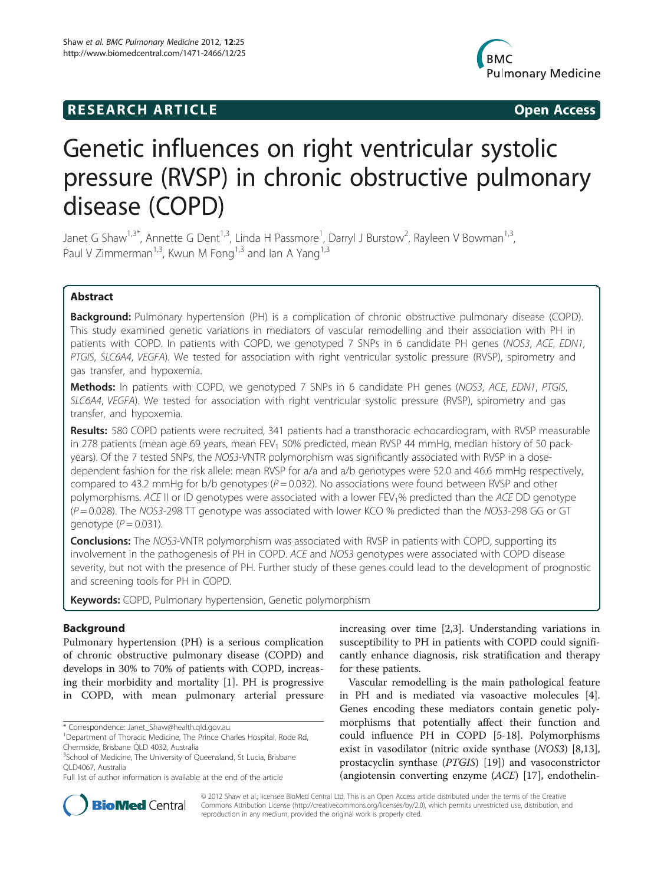# **RESEARCH ARTICLE Example 2014 CONSIDERING CONSIDERING CONSIDERING CONSIDERING CONSIDERING CONSIDERING CONSIDERING CONSIDERING CONSIDERING CONSIDERING CONSIDERING CONSIDERING CONSIDERING CONSIDERING CONSIDERING CONSIDE**



# Genetic influences on right ventricular systolic pressure (RVSP) in chronic obstructive pulmonary disease (COPD)

Janet G Shaw<sup>1,3\*</sup>, Annette G Dent<sup>1,3</sup>, Linda H Passmore<sup>1</sup>, Darryl J Burstow<sup>2</sup>, Rayleen V Bowman<sup>1,3</sup>, Paul V Zimmerman<sup>1,3</sup>, Kwun M Fong<sup>1,3</sup> and Ian A Yang<sup>1,3</sup>

# Abstract

Background: Pulmonary hypertension (PH) is a complication of chronic obstructive pulmonary disease (COPD). This study examined genetic variations in mediators of vascular remodelling and their association with PH in patients with COPD. In patients with COPD, we genotyped 7 SNPs in 6 candidate PH genes (NOS3, ACE, EDN1, PTGIS, SLC6A4, VEGFA). We tested for association with right ventricular systolic pressure (RVSP), spirometry and gas transfer, and hypoxemia.

Methods: In patients with COPD, we genotyped 7 SNPs in 6 candidate PH genes (NOS3, ACE, EDN1, PTGIS, SLC6A4, VEGFA). We tested for association with right ventricular systolic pressure (RVSP), spirometry and gas transfer, and hypoxemia.

Results: 580 COPD patients were recruited, 341 patients had a transthoracic echocardiogram, with RVSP measurable in 278 patients (mean age 69 years, mean FEV<sub>1</sub> 50% predicted, mean RVSP 44 mmHg, median history of 50 packyears). Of the 7 tested SNPs, the NOS3-VNTR polymorphism was significantly associated with RVSP in a dosedependent fashion for the risk allele: mean RVSP for a/a and a/b genotypes were 52.0 and 46.6 mmHg respectively, compared to 43.2 mmHg for b/b genotypes  $(P = 0.032)$ . No associations were found between RVSP and other polymorphisms. ACE II or ID genotypes were associated with a lower FEV<sub>1</sub>% predicted than the ACE DD genotype  $(P = 0.028)$ . The NOS3-298 TT genotype was associated with lower KCO % predicted than the NOS3-298 GG or GT genotype  $(P = 0.031)$ .

**Conclusions:** The NOS3-VNTR polymorphism was associated with RVSP in patients with COPD, supporting its involvement in the pathogenesis of PH in COPD. ACE and NOS3 genotypes were associated with COPD disease severity, but not with the presence of PH. Further study of these genes could lead to the development of prognostic and screening tools for PH in COPD.

Keywords: COPD, Pulmonary hypertension, Genetic polymorphism

# Background

Pulmonary hypertension (PH) is a serious complication of chronic obstructive pulmonary disease (COPD) and develops in 30% to 70% of patients with COPD, increasing their morbidity and mortality [\[1](#page-7-0)]. PH is progressive in COPD, with mean pulmonary arterial pressure

\* Correspondence: [Janet\\_Shaw@health.qld.gov.au](mailto:Janet_Shaw@health.qld.gov.au) <sup>1</sup>

increasing over time [\[2,3](#page-7-0)]. Understanding variations in susceptibility to PH in patients with COPD could significantly enhance diagnosis, risk stratification and therapy for these patients.

Vascular remodelling is the main pathological feature in PH and is mediated via vasoactive molecules [\[4](#page-7-0)]. Genes encoding these mediators contain genetic polymorphisms that potentially affect their function and could influence PH in COPD [[5-18\]](#page-7-0). Polymorphisms exist in vasodilator (nitric oxide synthase (NOS3) [\[8,13](#page-7-0)], prostacyclin synthase (PTGIS) [[19\]](#page-7-0)) and vasoconstrictor (angiotensin converting enzyme (ACE) [\[17](#page-7-0)], endothelin-



© 2012 Shaw et al.; licensee BioMed Central Ltd. This is an Open Access article distributed under the terms of the Creative Commons Attribution License [\(http://creativecommons.org/licenses/by/2.0\)](http://creativecommons.org/licenses/by/2.0), which permits unrestricted use, distribution, and reproduction in any medium, provided the original work is properly cited.

<sup>&</sup>lt;sup>1</sup>Department of Thoracic Medicine, The Prince Charles Hospital, Rode Rd, Chermside, Brisbane QLD 4032, Australia

<sup>&</sup>lt;sup>3</sup>School of Medicine, The University of Queensland, St Lucia, Brisbane QLD4067, Australia

Full list of author information is available at the end of the article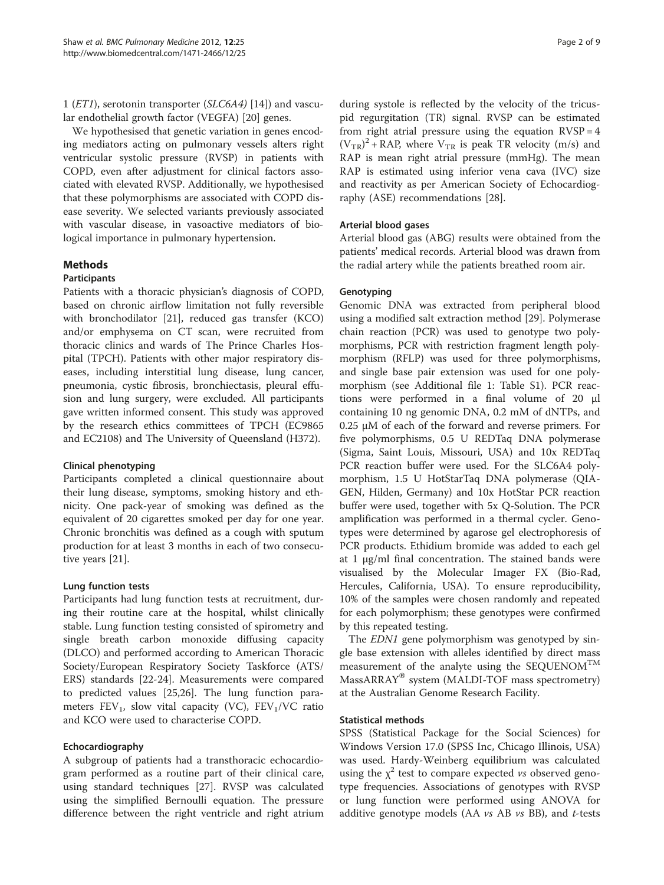1 (ET1), serotonin transporter (SLC6A4) [[14](#page-7-0)]) and vascular endothelial growth factor (VEGFA) [\[20](#page-7-0)] genes.

We hypothesised that genetic variation in genes encoding mediators acting on pulmonary vessels alters right ventricular systolic pressure (RVSP) in patients with COPD, even after adjustment for clinical factors associated with elevated RVSP. Additionally, we hypothesised that these polymorphisms are associated with COPD disease severity. We selected variants previously associated with vascular disease, in vasoactive mediators of biological importance in pulmonary hypertension.

#### Methods

#### **Participants**

Patients with a thoracic physician's diagnosis of COPD, based on chronic airflow limitation not fully reversible with bronchodilator [\[21](#page-7-0)], reduced gas transfer (KCO) and/or emphysema on CT scan, were recruited from thoracic clinics and wards of The Prince Charles Hospital (TPCH). Patients with other major respiratory diseases, including interstitial lung disease, lung cancer, pneumonia, cystic fibrosis, bronchiectasis, pleural effusion and lung surgery, were excluded. All participants gave written informed consent. This study was approved by the research ethics committees of TPCH (EC9865 and EC2108) and The University of Queensland (H372).

#### Clinical phenotyping

Participants completed a clinical questionnaire about their lung disease, symptoms, smoking history and ethnicity. One pack-year of smoking was defined as the equivalent of 20 cigarettes smoked per day for one year. Chronic bronchitis was defined as a cough with sputum production for at least 3 months in each of two consecutive years [\[21\]](#page-7-0).

#### Lung function tests

Participants had lung function tests at recruitment, during their routine care at the hospital, whilst clinically stable. Lung function testing consisted of spirometry and single breath carbon monoxide diffusing capacity (DLCO) and performed according to American Thoracic Society/European Respiratory Society Taskforce (ATS/ ERS) standards [[22-24](#page-7-0)]. Measurements were compared to predicted values [\[25,26](#page-7-0)]. The lung function parameters  $FEV_1$ , slow vital capacity (VC),  $FEV_1/VC$  ratio and KCO were used to characterise COPD.

#### Echocardiography

A subgroup of patients had a transthoracic echocardiogram performed as a routine part of their clinical care, using standard techniques [[27](#page-7-0)]. RVSP was calculated using the simplified Bernoulli equation. The pressure difference between the right ventricle and right atrium during systole is reflected by the velocity of the tricuspid regurgitation (TR) signal. RVSP can be estimated from right atrial pressure using the equation  $RVSP = 4$  $(V_{TR})^2$  + RAP, where  $V_{TR}$  is peak TR velocity (m/s) and RAP is mean right atrial pressure (mmHg). The mean RAP is estimated using inferior vena cava (IVC) size and reactivity as per American Society of Echocardiography (ASE) recommendations [[28](#page-7-0)].

#### Arterial blood gases

Arterial blood gas (ABG) results were obtained from the patients' medical records. Arterial blood was drawn from the radial artery while the patients breathed room air.

#### Genotyping

Genomic DNA was extracted from peripheral blood using a modified salt extraction method [[29\]](#page-7-0). Polymerase chain reaction (PCR) was used to genotype two polymorphisms, PCR with restriction fragment length polymorphism (RFLP) was used for three polymorphisms, and single base pair extension was used for one polymorphism (see Additional file [1:](#page-6-0) Table S1). PCR reactions were performed in a final volume of 20 μl containing 10 ng genomic DNA, 0.2 mM of dNTPs, and 0.25 μM of each of the forward and reverse primers. For five polymorphisms, 0.5 U REDTaq DNA polymerase (Sigma, Saint Louis, Missouri, USA) and 10x REDTaq PCR reaction buffer were used. For the SLC6A4 polymorphism, 1.5 U HotStarTaq DNA polymerase (QIA-GEN, Hilden, Germany) and 10x HotStar PCR reaction buffer were used, together with 5x Q-Solution. The PCR amplification was performed in a thermal cycler. Genotypes were determined by agarose gel electrophoresis of PCR products. Ethidium bromide was added to each gel at 1 μg/ml final concentration. The stained bands were visualised by the Molecular Imager FX (Bio-Rad, Hercules, California, USA). To ensure reproducibility, 10% of the samples were chosen randomly and repeated for each polymorphism; these genotypes were confirmed by this repeated testing.

The *EDN1* gene polymorphism was genotyped by single base extension with alleles identified by direct mass measurement of the analyte using the SEQUENOM<sup>TM</sup> MassARRAY<sup>®</sup> system (MALDI-TOF mass spectrometry) at the Australian Genome Research Facility.

#### Statistical methods

SPSS (Statistical Package for the Social Sciences) for Windows Version 17.0 (SPSS Inc, Chicago Illinois, USA) was used. Hardy-Weinberg equilibrium was calculated using the  $\chi^2$  test to compare expected vs observed genotype frequencies. Associations of genotypes with RVSP or lung function were performed using ANOVA for additive genotype models (AA  $vs$  AB  $vs$  BB), and  $t$ -tests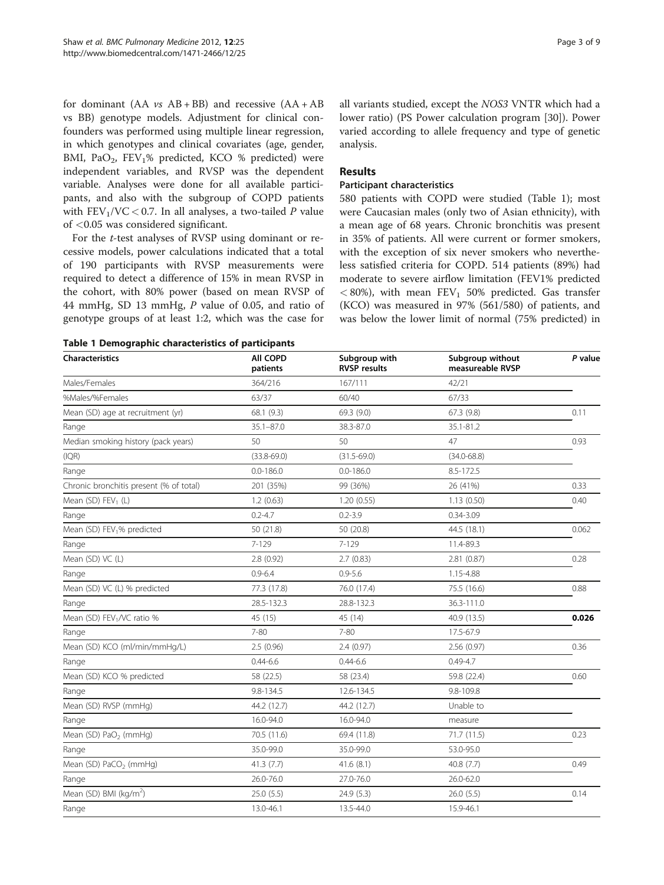<span id="page-2-0"></span>for dominant  $(AA \text{ vs } AB + BB)$  and recessive  $(AA + AB)$ vs BB) genotype models. Adjustment for clinical confounders was performed using multiple linear regression, in which genotypes and clinical covariates (age, gender, BMI, PaO<sub>2</sub>, FEV<sub>1</sub>% predicted, KCO % predicted) were independent variables, and RVSP was the dependent variable. Analyses were done for all available participants, and also with the subgroup of COPD patients with  $FEV_1/VC < 0.7$ . In all analyses, a two-tailed P value of <0.05 was considered significant.

For the t-test analyses of RVSP using dominant or recessive models, power calculations indicated that a total of 190 participants with RVSP measurements were required to detect a difference of 15% in mean RVSP in the cohort, with 80% power (based on mean RVSP of 44 mmHg, SD 13 mmHg, P value of 0.05, and ratio of genotype groups of at least 1:2, which was the case for all variants studied, except the NOS3 VNTR which had a lower ratio) (PS Power calculation program [\[30](#page-7-0)]). Power varied according to allele frequency and type of genetic analysis.

#### Results

#### Participant characteristics

580 patients with COPD were studied (Table 1); most were Caucasian males (only two of Asian ethnicity), with a mean age of 68 years. Chronic bronchitis was present in 35% of patients. All were current or former smokers, with the exception of six never smokers who nevertheless satisfied criteria for COPD. 514 patients (89%) had moderate to severe airflow limitation (FEV1% predicted  $<$  80%), with mean FEV<sub>1</sub> 50% predicted. Gas transfer (KCO) was measured in 97% (561/580) of patients, and was below the lower limit of normal (75% predicted) in

|  |  |  | Table 1 Demographic characteristics of participants |  |
|--|--|--|-----------------------------------------------------|--|
|--|--|--|-----------------------------------------------------|--|

| <b>Characteristics</b>                  | All COPD<br>patients | Subgroup with<br><b>RVSP</b> results | Subgroup without<br>measureable RVSP | P value |
|-----------------------------------------|----------------------|--------------------------------------|--------------------------------------|---------|
| Males/Females                           | 364/216              | 167/111                              | 42/21                                |         |
| %Males/%Females                         | 63/37                | 60/40                                | 67/33                                |         |
| Mean (SD) age at recruitment (yr)       | 68.1 (9.3)           | 69.3 (9.0)                           | 67.3 (9.8)                           | 0.11    |
| Range                                   | $35.1 - 87.0$        | 38.3-87.0                            | 35.1-81.2                            |         |
| Median smoking history (pack years)     | 50                   | 50                                   | 47                                   | 0.93    |
| (IQR)                                   | $(33.8 - 69.0)$      | $(31.5 - 69.0)$                      | $(34.0 - 68.8)$                      |         |
| Range                                   | $0.0 - 186.0$        | $0.0 - 186.0$                        | 8.5-172.5                            |         |
| Chronic bronchitis present (% of total) | 201 (35%)            | 99 (36%)                             | 26 (41%)                             | 0.33    |
| Mean $(SD)$ FEV <sub>1</sub> $(L)$      | 1.2(0.63)            | 1.20(0.55)                           | 1.13(0.50)                           | 0.40    |
| Range                                   | $0.2 - 4.7$          | $0.2 - 3.9$                          | $0.34 - 3.09$                        |         |
| Mean (SD) FEV <sub>1</sub> % predicted  | 50 (21.8)            | 50 (20.8)                            | 44.5 (18.1)                          | 0.062   |
| Range                                   | $7 - 129$            | $7 - 129$                            | 11.4-89.3                            |         |
| Mean (SD) VC (L)                        | 2.8 (0.92)           | 2.7(0.83)                            | 2.81(0.87)                           | 0.28    |
| Range                                   | $0.9 - 6.4$          | $0.9 - 5.6$                          | 1.15-4.88                            |         |
| Mean (SD) VC (L) % predicted            | 77.3 (17.8)          | 76.0 (17.4)                          | 75.5 (16.6)                          | 0.88    |
| Range                                   | 28.5-132.3           | 28.8-132.3                           | 36.3-111.0                           |         |
| Mean (SD) FEV <sub>1</sub> /VC ratio %  | 45 (15)              | 45 (14)                              | 40.9 (13.5)                          | 0.026   |
| Range                                   | 7-80                 | $7 - 80$                             | 17.5-67.9                            |         |
| Mean (SD) KCO (ml/min/mmHg/L)           | 2.5(0.96)            | 2.4(0.97)                            | 2.56(0.97)                           | 0.36    |
| Range                                   | $0.44 - 6.6$         | $0.44 - 6.6$                         | $0.49 - 4.7$                         |         |
| Mean (SD) KCO % predicted               | 58 (22.5)            | 58 (23.4)                            | 59.8 (22.4)                          | 0.60    |
| Range                                   | 9.8-134.5            | 12.6-134.5                           | 9.8-109.8                            |         |
| Mean (SD) RVSP (mmHg)                   | 44.2 (12.7)          | 44.2 (12.7)                          | Unable to                            |         |
| Range                                   | 16.0-94.0            | 16.0-94.0                            | measure                              |         |
| Mean (SD) PaO <sub>2</sub> (mmHg)       | 70.5 (11.6)          | 69.4 (11.8)                          | 71.7 (11.5)                          | 0.23    |
| Range                                   | 35.0-99.0            | 35.0-99.0                            | 53.0-95.0                            |         |
| Mean (SD) PaCO <sub>2</sub> (mmHg)      | 41.3 (7.7)           | 41.6(8.1)                            | 40.8 (7.7)                           | 0.49    |
| Range                                   | 26.0-76.0            | 27.0-76.0                            | 26.0-62.0                            |         |
| Mean (SD) BMI ( $kg/m2$ )               | 25.0(5.5)            | 24.9 (5.3)                           | 26.0(5.5)                            | 0.14    |
| Range                                   | 13.0-46.1            | 13.5-44.0                            | 15.9-46.1                            |         |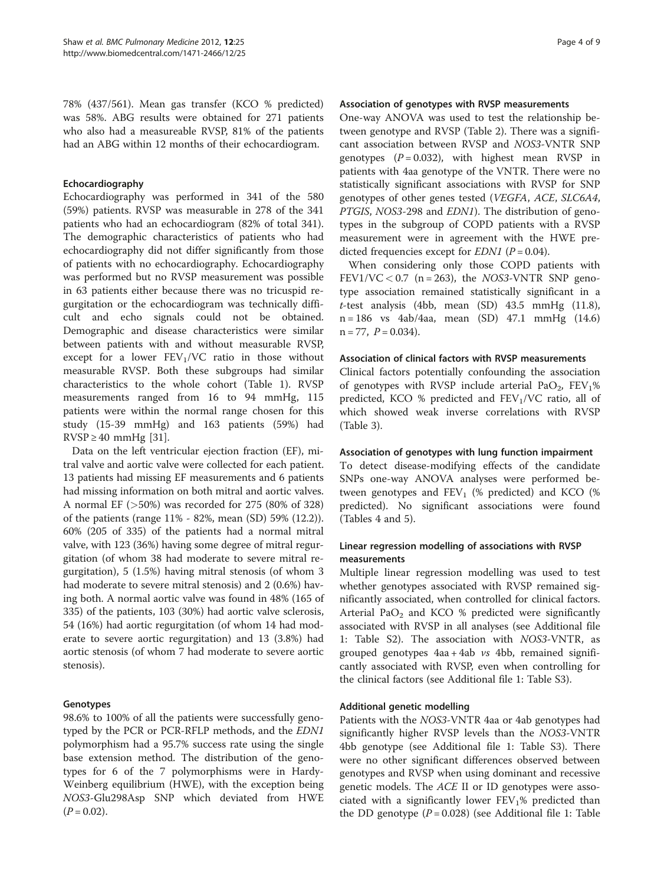78% (437/561). Mean gas transfer (KCO % predicted) was 58%. ABG results were obtained for 271 patients who also had a measureable RVSP, 81% of the patients had an ABG within 12 months of their echocardiogram.

#### Echocardiography

Echocardiography was performed in 341 of the 580 (59%) patients. RVSP was measurable in 278 of the 341 patients who had an echocardiogram (82% of total 341). The demographic characteristics of patients who had echocardiography did not differ significantly from those of patients with no echocardiography. Echocardiography was performed but no RVSP measurement was possible in 63 patients either because there was no tricuspid regurgitation or the echocardiogram was technically difficult and echo signals could not be obtained. Demographic and disease characteristics were similar between patients with and without measurable RVSP, except for a lower  $FEV<sub>1</sub>/VC$  ratio in those without measurable RVSP. Both these subgroups had similar characteristics to the whole cohort (Table [1\)](#page-2-0). RVSP measurements ranged from 16 to 94 mmHg, 115 patients were within the normal range chosen for this study (15-39 mmHg) and 163 patients (59%) had  $RVSP \geq 40$  mmHg [\[31\]](#page-7-0).

Data on the left ventricular ejection fraction (EF), mitral valve and aortic valve were collected for each patient. 13 patients had missing EF measurements and 6 patients had missing information on both mitral and aortic valves. A normal EF (>50%) was recorded for 275 (80% of 328) of the patients (range 11% - 82%, mean (SD) 59% (12.2)). 60% (205 of 335) of the patients had a normal mitral valve, with 123 (36%) having some degree of mitral regurgitation (of whom 38 had moderate to severe mitral regurgitation), 5 (1.5%) having mitral stenosis (of whom 3 had moderate to severe mitral stenosis) and 2 (0.6%) having both. A normal aortic valve was found in 48% (165 of 335) of the patients, 103 (30%) had aortic valve sclerosis, 54 (16%) had aortic regurgitation (of whom 14 had moderate to severe aortic regurgitation) and 13 (3.8%) had aortic stenosis (of whom 7 had moderate to severe aortic stenosis).

#### Genotypes

98.6% to 100% of all the patients were successfully genotyped by the PCR or PCR-RFLP methods, and the EDN1 polymorphism had a 95.7% success rate using the single base extension method. The distribution of the genotypes for 6 of the 7 polymorphisms were in Hardy-Weinberg equilibrium (HWE), with the exception being NOS3-Glu298Asp SNP which deviated from HWE  $(P = 0.02)$ .

#### Association of genotypes with RVSP measurements

One-way ANOVA was used to test the relationship between genotype and RVSP (Table [2](#page-4-0)). There was a significant association between RVSP and NOS3-VNTR SNP genotypes  $(P = 0.032)$ , with highest mean RVSP in patients with 4aa genotype of the VNTR. There were no statistically significant associations with RVSP for SNP genotypes of other genes tested (VEGFA, ACE, SLC6A4, PTGIS, NOS3-298 and EDN1). The distribution of genotypes in the subgroup of COPD patients with a RVSP measurement were in agreement with the HWE predicted frequencies except for  $EDNI$  ( $P = 0.04$ ).

When considering only those COPD patients with FEV1/VC < 0.7 ( $n = 263$ ), the NOS3-VNTR SNP genotype association remained statistically significant in a  $t$ -test analysis (4bb, mean (SD) 43.5 mmHg (11.8), n = 186 vs 4ab/4aa, mean (SD) 47.1 mmHg (14.6)  $n = 77$ ,  $P = 0.034$ ).

#### Association of clinical factors with RVSP measurements

Clinical factors potentially confounding the association of genotypes with RVSP include arterial PaO<sub>2</sub>,  $FEV<sub>1</sub>%$ predicted, KCO % predicted and  $FEV<sub>1</sub>/VC$  ratio, all of which showed weak inverse correlations with RVSP (Table [3\)](#page-4-0).

#### Association of genotypes with lung function impairment

To detect disease-modifying effects of the candidate SNPs one-way ANOVA analyses were performed between genotypes and  $FEV_1$  (% predicted) and KCO (% predicted). No significant associations were found (Tables [4](#page-5-0) and [5\)](#page-6-0).

## Linear regression modelling of associations with RVSP measurements

Multiple linear regression modelling was used to test whether genotypes associated with RVSP remained significantly associated, when controlled for clinical factors. Arterial Pa $O_2$  and KCO % predicted were significantly associated with RVSP in all analyses (see Additional file [1:](#page-6-0) Table S2). The association with NOS3-VNTR, as grouped genotypes 4aa + 4ab vs 4bb, remained significantly associated with RVSP, even when controlling for the clinical factors (see Additional file [1:](#page-6-0) Table S3).

#### Additional genetic modelling

Patients with the NOS3-VNTR 4aa or 4ab genotypes had significantly higher RVSP levels than the NOS3-VNTR 4bb genotype (see Additional file [1](#page-6-0): Table S3). There were no other significant differences observed between genotypes and RVSP when using dominant and recessive genetic models. The ACE II or ID genotypes were associated with a significantly lower  $FEV<sub>1</sub>%$  predicted than the DD genotype  $(P = 0.028)$  (see Additional file [1:](#page-6-0) Table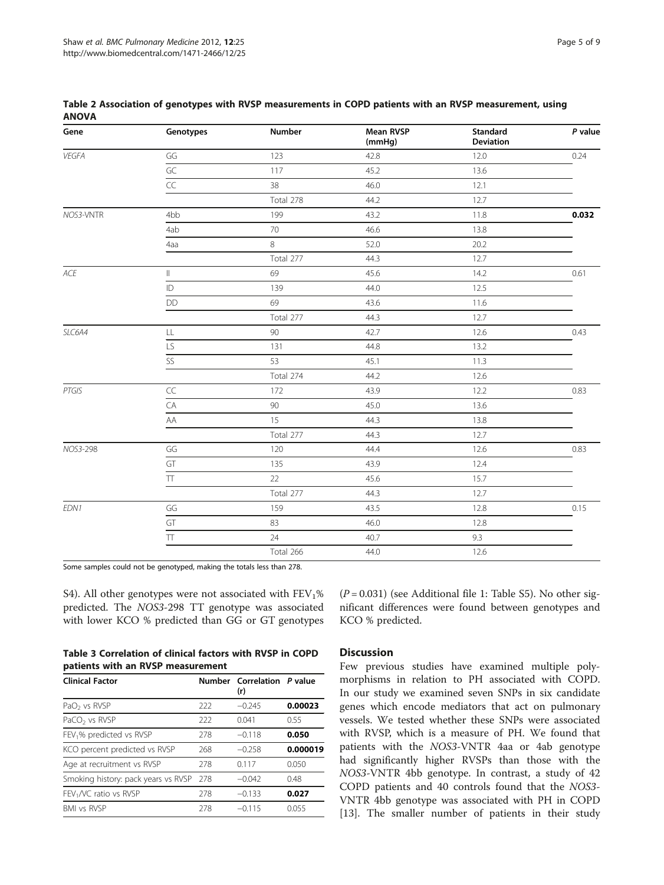| Gene           | Genotypes         | Number    | <b>Mean RVSP</b><br>(mmHg) | Standard<br><b>Deviation</b> | $P$ value |
|----------------|-------------------|-----------|----------------------------|------------------------------|-----------|
| VEGFA          | GG                | 123       | 42.8                       | 12.0                         | 0.24      |
|                | GC                | 117       | 45.2                       | 13.6                         |           |
|                | $\overline{CC}$   | 38        | 46.0                       | 12.1                         |           |
|                |                   | Total 278 | 44.2                       | 12.7                         |           |
| NOS3-VNTR      | 4 <sub>b</sub> b  | 199       | 43.2                       | 11.8                         | 0.032     |
|                | 4ab               | 70        | 46.6                       | 13.8                         |           |
|                | 4aa               | 8         | 52.0                       | 20.2                         |           |
|                |                   | Total 277 | 44.3                       | 12.7                         |           |
| $\mathit{ACE}$ | $\parallel$       | 69        | 45.6                       | 14.2                         | 0.61      |
|                | ID                | 139       | 44.0                       | 12.5                         |           |
|                | <b>DD</b>         | 69        | 43.6                       | 11.6                         |           |
|                |                   | Total 277 | 44.3                       | 12.7                         |           |
| SLC6A4         | $\mathsf{LL}$     | $90\,$    | 42.7                       | 12.6                         | 0.43      |
|                | LS                | 131       | 44.8                       | 13.2                         |           |
|                | SS                | 53        | 45.1                       | 11.3                         |           |
|                |                   | Total 274 | 44.2                       | 12.6                         |           |
| PTGIS          | $\subset \subset$ | 172       | 43.9                       | 12.2                         | 0.83      |
|                | CA                | 90        | 45.0                       | 13.6                         |           |
|                | AA                | 15        | 44.3                       | 13.8                         |           |
|                |                   | Total 277 | 44.3                       | 12.7                         |           |
| NOS3-298       | GG                | 120       | 44.4                       | 12.6                         | 0.83      |
|                | GT                | 135       | 43.9                       | 12.4                         |           |
|                | $\overline{\Pi}$  | 22        | 45.6                       | 15.7                         |           |
|                |                   | Total 277 | 44.3                       | 12.7                         |           |
| EDN1           | GG                | 159       | 43.5                       | 12.8                         | 0.15      |
|                | GT                | 83        | 46.0                       | 12.8                         |           |
|                | $\top\top$        | 24        | 40.7                       | 9.3                          |           |
|                |                   | Total 266 | 44.0                       | 12.6                         |           |

#### <span id="page-4-0"></span>Table 2 Association of genotypes with RVSP measurements in COPD patients with an RVSP measurement, using ANOVA

Some samples could not be genotyped, making the totals less than 278.

S4). All other genotypes were not associated with  $FEV<sub>1</sub>%$ predicted. The NOS3-298 TT genotype was associated with lower KCO % predicted than GG or GT genotypes

|  |                                   |  | Table 3 Correlation of clinical factors with RVSP in COPD |
|--|-----------------------------------|--|-----------------------------------------------------------|
|  | patients with an RVSP measurement |  |                                                           |

| <b>Clinical Factor</b>               |     | Number Correlation P value<br>(r) |          |
|--------------------------------------|-----|-----------------------------------|----------|
| PaO <sub>2</sub> vs RVSP             | 222 | $-0.245$                          | 0.00023  |
| PaCO <sub>2</sub> vs RVSP            | 222 | 0.041                             | 0.55     |
| FEV <sub>1</sub> % predicted vs RVSP | 278 | $-0.118$                          | 0.050    |
| KCO percent predicted vs RVSP        | 268 | $-0.258$                          | 0.000019 |
| Age at recruitment vs RVSP           | 278 | 0.117                             | 0.050    |
| Smoking history: pack years vs RVSP  | 278 | $-0.042$                          | 0.48     |
| $FEV1/VC$ ratio vs RVSP              | 278 | $-0.133$                          | 0.027    |
| <b>BMI vs RVSP</b>                   | 278 | $-0.115$                          | 0.055    |

 $(P = 0.031)$  (see Additional file [1](#page-6-0): Table S5). No other significant differences were found between genotypes and KCO % predicted.

# **Discussion**

Few previous studies have examined multiple polymorphisms in relation to PH associated with COPD. In our study we examined seven SNPs in six candidate genes which encode mediators that act on pulmonary vessels. We tested whether these SNPs were associated with RVSP, which is a measure of PH. We found that patients with the NOS3-VNTR 4aa or 4ab genotype had significantly higher RVSPs than those with the NOS3-VNTR 4bb genotype. In contrast, a study of 42 COPD patients and 40 controls found that the NOS3- VNTR 4bb genotype was associated with PH in COPD [[13\]](#page-7-0). The smaller number of patients in their study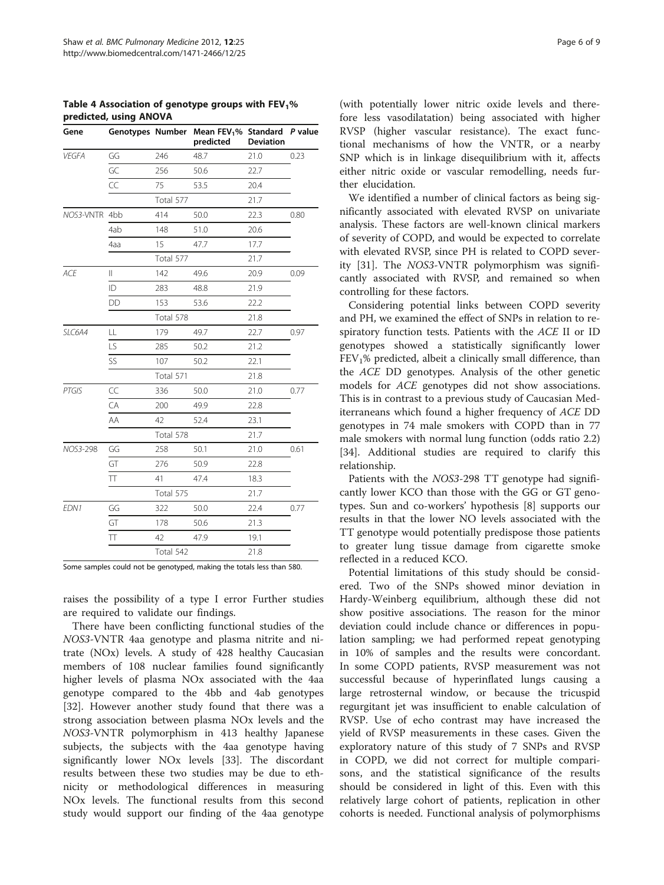| Gene          |     |           | Genotypes Number Mean FEV <sub>1</sub> % Standard P value<br>predicted | <b>Deviation</b> |      |
|---------------|-----|-----------|------------------------------------------------------------------------|------------------|------|
| <b>VEGFA</b>  | GG  | 246       | 48.7                                                                   | 21.0             | 0.23 |
|               | GC  | 256       | 50.6                                                                   | 22.7             |      |
|               | CC  | 75        | 53.5                                                                   | 20.4             |      |
|               |     | Total 577 |                                                                        | 21.7             |      |
| NOS3-VNTR 4bb |     | 414       | 50.0                                                                   | 22.3             | 0.80 |
|               | 4ab | 148       | 51.0                                                                   | 20.6             |      |
|               | 4aa | 15        | 47.7                                                                   | 17.7             |      |
|               |     | Total 577 |                                                                        | 21.7             |      |
| <b>ACE</b>    | Ш   | 142       | 49.6                                                                   | 20.9             | 0.09 |
|               | ID  | 283       | 48.8                                                                   | 21.9             |      |
|               | DD  | 153       | 53.6                                                                   | 22.2             |      |
|               |     | Total 578 |                                                                        | 21.8             |      |
| SLC6A4        | LL  | 179       | 49.7                                                                   | 22.7             | 0.97 |
|               | LS  | 285       | 50.2                                                                   | 21.2             |      |
|               | SS  | 107       | 50.2                                                                   | 22.1             |      |
|               |     | Total 571 |                                                                        | 21.8             |      |
| PTGIS         | CC  | 336       | 50.0                                                                   | 21.0             | 0.77 |
|               | CA  | 200       | 49.9                                                                   | 22.8             |      |
|               | AA  | 42        | 52.4                                                                   | 23.1             |      |
|               |     | Total 578 |                                                                        | 21.7             |      |
| NOS3-298      | GG  | 258       | 50.1                                                                   | 21.0             | 0.61 |
|               | GT  | 276       | 50.9                                                                   | 22.8             |      |
|               | π   | 41        | 47.4                                                                   | 18.3             |      |
|               |     | Total 575 |                                                                        | 21.7             |      |
| EDN1          | GG  | 322       | 50.0                                                                   | 22.4             | 0.77 |
|               | GT  | 178       | 50.6                                                                   | 21.3             |      |
|               | Π   | 42        | 47.9                                                                   | 19.1             |      |
|               |     | Total 542 |                                                                        | 21.8             |      |

<span id="page-5-0"></span>Table 4 Association of genotype groups with  $FEV<sub>1</sub>%$ predicted, using ANOVA

Some samples could not be genotyped, making the totals less than 580.

raises the possibility of a type I error Further studies are required to validate our findings.

There have been conflicting functional studies of the NOS3-VNTR 4aa genotype and plasma nitrite and nitrate (NOx) levels. A study of 428 healthy Caucasian members of 108 nuclear families found significantly higher levels of plasma NOx associated with the 4aa genotype compared to the 4bb and 4ab genotypes [[32\]](#page-7-0). However another study found that there was a strong association between plasma NOx levels and the NOS3-VNTR polymorphism in 413 healthy Japanese subjects, the subjects with the 4aa genotype having significantly lower NOx levels [\[33\]](#page-7-0). The discordant results between these two studies may be due to ethnicity or methodological differences in measuring NOx levels. The functional results from this second study would support our finding of the 4aa genotype

(with potentially lower nitric oxide levels and therefore less vasodilatation) being associated with higher RVSP (higher vascular resistance). The exact functional mechanisms of how the VNTR, or a nearby SNP which is in linkage disequilibrium with it, affects either nitric oxide or vascular remodelling, needs further elucidation.

We identified a number of clinical factors as being significantly associated with elevated RVSP on univariate analysis. These factors are well-known clinical markers of severity of COPD, and would be expected to correlate with elevated RVSP, since PH is related to COPD severity [\[31](#page-7-0)]. The NOS3-VNTR polymorphism was significantly associated with RVSP, and remained so when controlling for these factors.

Considering potential links between COPD severity and PH, we examined the effect of SNPs in relation to respiratory function tests. Patients with the ACE II or ID genotypes showed a statistically significantly lower  $FEV<sub>1</sub>%$  predicted, albeit a clinically small difference, than the ACE DD genotypes. Analysis of the other genetic models for ACE genotypes did not show associations. This is in contrast to a previous study of Caucasian Mediterraneans which found a higher frequency of ACE DD genotypes in 74 male smokers with COPD than in 77 male smokers with normal lung function (odds ratio 2.2) [[34\]](#page-8-0). Additional studies are required to clarify this relationship.

Patients with the NOS3-298 TT genotype had significantly lower KCO than those with the GG or GT genotypes. Sun and co-workers' hypothesis [[8\]](#page-7-0) supports our results in that the lower NO levels associated with the TT genotype would potentially predispose those patients to greater lung tissue damage from cigarette smoke reflected in a reduced KCO.

Potential limitations of this study should be considered. Two of the SNPs showed minor deviation in Hardy-Weinberg equilibrium, although these did not show positive associations. The reason for the minor deviation could include chance or differences in population sampling; we had performed repeat genotyping in 10% of samples and the results were concordant. In some COPD patients, RVSP measurement was not successful because of hyperinflated lungs causing a large retrosternal window, or because the tricuspid regurgitant jet was insufficient to enable calculation of RVSP. Use of echo contrast may have increased the yield of RVSP measurements in these cases. Given the exploratory nature of this study of 7 SNPs and RVSP in COPD, we did not correct for multiple comparisons, and the statistical significance of the results should be considered in light of this. Even with this relatively large cohort of patients, replication in other cohorts is needed. Functional analysis of polymorphisms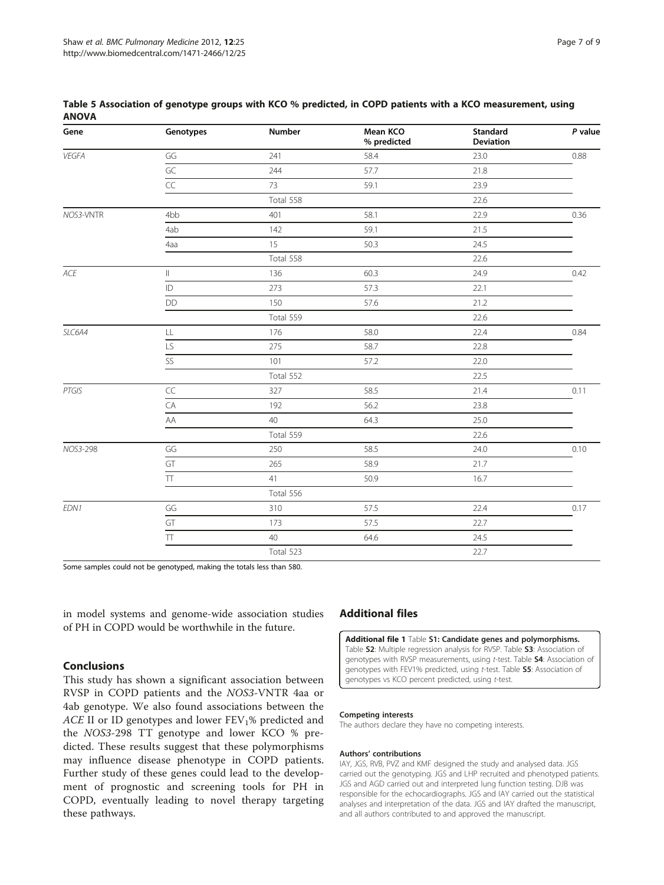| Gene      | Genotypes                | Number    | Mean KCO<br>% predicted | Standard<br>Deviation | $P$ value |
|-----------|--------------------------|-----------|-------------------------|-----------------------|-----------|
| VEGFA     | $\mathsf{G}\mathsf{G}$   | 241       | 58.4                    | 23.0                  | 0.88      |
|           | $\overline{\mathsf{GC}}$ | 244       | 57.7                    | 21.8                  |           |
|           | CC                       | 73        | 59.1                    | 23.9                  |           |
|           |                          | Total 558 |                         | 22.6                  |           |
| NOS3-VNTR | 4bb                      | 401       | 58.1                    | 22.9                  | 0.36      |
|           | 4ab                      | 142       | 59.1                    | 21.5                  |           |
|           | 4aa                      | 15        | 50.3                    | 24.5                  |           |
|           |                          | Total 558 |                         | 22.6                  |           |
| ACE       | $\parallel$              | 136       | 60.3                    | 24.9                  | 0.42      |
|           | ID                       | 273       | 57.3                    | 22.1                  |           |
|           | DD                       | 150       | 57.6                    | 21.2                  |           |
|           |                          | Total 559 |                         | 22.6                  |           |
| SLC6A4    | LL                       | 176       | 58.0                    | 22.4                  | 0.84      |
|           | LS                       | 275       | 58.7                    | 22.8                  |           |
|           | SS                       | 101       | 57.2                    | 22.0                  |           |
|           |                          | Total 552 |                         | 22.5                  |           |
| PTGIS     | $\subset \subset$        | 327       | 58.5                    | 21.4                  | 0.11      |
|           | CA                       | 192       | 56.2                    | 23.8                  |           |
|           | AA                       | 40        | 64.3                    | 25.0                  |           |
|           |                          | Total 559 |                         | 22.6                  |           |
| NOS3-298  | GG                       | 250       | 58.5                    | 24.0                  | 0.10      |
|           | GT                       | 265       | 58.9                    | 21.7                  |           |
|           | $\top\top$               | 41        | 50.9                    | 16.7                  |           |
|           |                          | Total 556 |                         |                       |           |
| EDN1      | GG                       | 310       | 57.5                    | 22.4                  | 0.17      |
|           | GT                       | 173       | 57.5                    | 22.7                  |           |
|           | $\top\hspace{-0.6em}T$   | 40        | 64.6                    | 24.5                  |           |
|           |                          | Total 523 |                         | 22.7                  |           |

#### <span id="page-6-0"></span>Table 5 Association of genotype groups with KCO % predicted, in COPD patients with a KCO measurement, using **ANOVA**

Some samples could not be genotyped, making the totals less than 580.

in model systems and genome-wide association studies of PH in COPD would be worthwhile in the future.

## Conclusions

This study has shown a significant association between RVSP in COPD patients and the NOS3-VNTR 4aa or 4ab genotype. We also found associations between the ACE II or ID genotypes and lower  $FEV<sub>1</sub>%$  predicted and the NOS3-298 TT genotype and lower KCO % predicted. These results suggest that these polymorphisms may influence disease phenotype in COPD patients. Further study of these genes could lead to the development of prognostic and screening tools for PH in COPD, eventually leading to novel therapy targeting these pathways.

# Additional files

[Additional file 1](http://www.biomedcentral.com/content/supplementary/2025_1566558453628298_MOESM1_ESM.doc) Table S1: Candidate genes and polymorphisms. Table **S2**: Multiple regression analysis for RVSP. Table **S3**: Association of genotypes with RVSP measurements, using t-test. Table S4: Association of genotypes with FEV1% predicted, using t-test. Table 55: Association of genotypes vs KCO percent predicted, using t-test.

#### Competing interests

The authors declare they have no competing interests.

#### Authors' contributions

IAY, JGS, RVB, PVZ and KMF designed the study and analysed data. JGS carried out the genotyping. JGS and LHP recruited and phenotyped patients. JGS and AGD carried out and interpreted lung function testing. DJB was responsible for the echocardiographs. JGS and IAY carried out the statistical analyses and interpretation of the data. JGS and IAY drafted the manuscript, and all authors contributed to and approved the manuscript.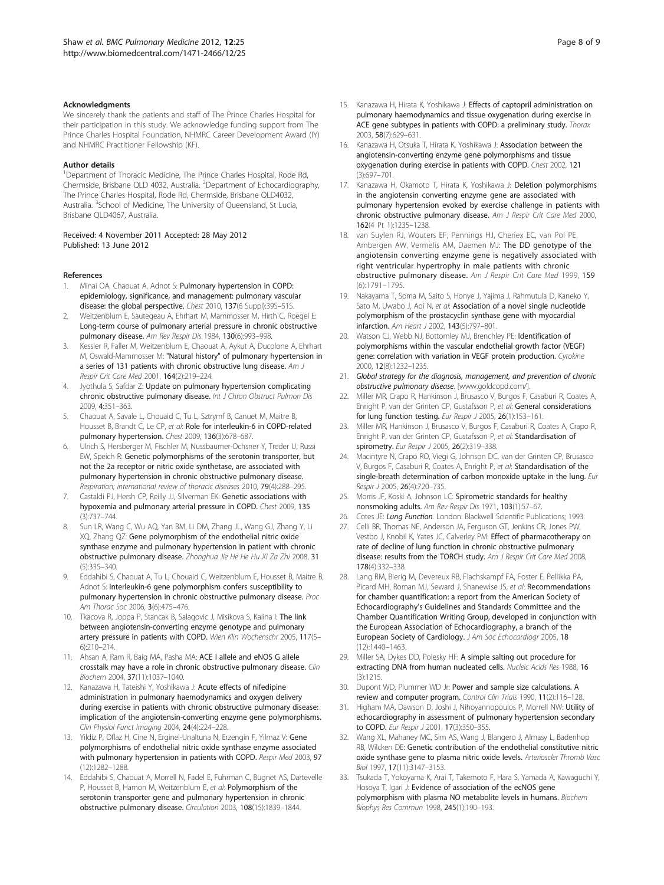#### <span id="page-7-0"></span>Acknowledgments

We sincerely thank the patients and staff of The Prince Charles Hospital for their participation in this study. We acknowledge funding support from The Prince Charles Hospital Foundation, NHMRC Career Development Award (IY) and NHMRC Practitioner Fellowship (KF).

#### Author details

<sup>1</sup>Department of Thoracic Medicine, The Prince Charles Hospital, Rode Rd, Chermside, Brisbane QLD 4032, Australia. <sup>2</sup>Department of Echocardiography, The Prince Charles Hospital, Rode Rd, Chermside, Brisbane QLD4032, Australia. <sup>3</sup>School of Medicine, The University of Queensland, St Lucia, Brisbane QLD4067, Australia.

#### Received: 4 November 2011 Accepted: 28 May 2012 Published: 13 June 2012

#### References

- 1. Minai OA, Chaouat A, Adnot S: Pulmonary hypertension in COPD: epidemiology, significance, and management: pulmonary vascular disease: the global perspective. Chest 2010, 137(6 Suppl):39S–51S.
- 2. Weitzenblum E, Sautegeau A, Ehrhart M, Mammosser M, Hirth C, Roegel E: Long-term course of pulmonary arterial pressure in chronic obstructive pulmonary disease. Am Rev Respir Dis 1984, 130(6):993–998.
- 3. Kessler R, Faller M, Weitzenblum E, Chaouat A, Aykut A, Ducolone A, Ehrhart M, Oswald-Mammosser M: "Natural history" of pulmonary hypertension in a series of 131 patients with chronic obstructive lung disease. Am J Respir Crit Care Med 2001, 164(2):219–224.
- Jyothula S, Safdar Z: Update on pulmonary hypertension complicating chronic obstructive pulmonary disease. Int J Chron Obstruct Pulmon Dis 2009, 4:351–363.
- 5. Chaouat A, Savale L, Chouaid C, Tu L, Sztrymf B, Canuet M, Maitre B, Housset B, Brandt C, Le CP, et al: Role for interleukin-6 in COPD-related pulmonary hypertension. Chest 2009, 136(3):678–687.
- 6. Ulrich S, Hersberger M, Fischler M, Nussbaumer-Ochsner Y, Treder U, Russi EW, Speich R: Genetic polymorphisms of the serotonin transporter, but not the 2a receptor or nitric oxide synthetase, are associated with pulmonary hypertension in chronic obstructive pulmonary disease. Respiration; international review of thoracic diseases 2010, 79(4):288–295.
- 7. Castaldi PJ, Hersh CP, Reilly JJ, Silverman EK: Genetic associations with hypoxemia and pulmonary arterial pressure in COPD. Chest 2009, 135 (3):737–744.
- Sun LR, Wang C, Wu AQ, Yan BM, Li DM, Zhang JL, Wang GJ, Zhang Y, Li XQ, Zhang QZ: Gene polymorphism of the endothelial nitric oxide synthase enzyme and pulmonary hypertension in patient with chronic obstructive pulmonary disease. Zhonghua Jie He He Hu Xi Za Zhi 2008, 31 (5):335–340.
- 9. Eddahibi S, Chaouat A, Tu L, Chouaid C, Weitzenblum E, Housset B, Maitre B, Adnot S: Interleukin-6 gene polymorphism confers susceptibility to pulmonary hypertension in chronic obstructive pulmonary disease. Proc Am Thorac Soc 2006, 3(6):475–476.
- 10. Tkacova R, Joppa P, Stancak B, Salagovic J, Misikova S, Kalina I: The link between angiotensin-converting enzyme genotype and pulmonary artery pressure in patients with COPD. Wien Klin Wochenschr 2005, 117(5– 6):210–214.
- 11. Ahsan A, Ram R, Baig MA, Pasha MA: ACE I allele and eNOS G allele crosstalk may have a role in chronic obstructive pulmonary disease. Clin Biochem 2004, 37(11):1037–1040.
- 12. Kanazawa H, Tateishi Y, Yoshikawa J: Acute effects of nifedipine administration in pulmonary haemodynamics and oxygen delivery during exercise in patients with chronic obstructive pulmonary disease: implication of the angiotensin-converting enzyme gene polymorphisms. Clin Physiol Funct Imaging 2004, 24(4):224–228.
- 13. Yildiz P, Oflaz H, Cine N, Erginel-Unaltuna N, Erzengin F, Yilmaz V: Gene polymorphisms of endothelial nitric oxide synthase enzyme associated with pulmonary hypertension in patients with COPD. Respir Med 2003, 97 (12):1282–1288.
- 14. Eddahibi S, Chaouat A, Morrell N, Fadel E, Fuhrman C, Bugnet AS, Dartevelle P, Housset B, Hamon M, Weitzenblum E, et al: Polymorphism of the serotonin transporter gene and pulmonary hypertension in chronic obstructive pulmonary disease. Circulation 2003, 108(15):1839–1844.
- 15. Kanazawa H, Hirata K, Yoshikawa J: Effects of captopril administration on pulmonary haemodynamics and tissue oxygenation during exercise in ACE gene subtypes in patients with COPD: a preliminary study. Thorax 2003, 58(7):629–631.
- 16. Kanazawa H, Otsuka T, Hirata K, Yoshikawa J: Association between the angiotensin-converting enzyme gene polymorphisms and tissue oxygenation during exercise in patients with COPD. Chest 2002, 121 (3):697–701.
- 17. Kanazawa H, Okamoto T, Hirata K, Yoshikawa J: Deletion polymorphisms in the angiotensin converting enzyme gene are associated with pulmonary hypertension evoked by exercise challenge in patients with chronic obstructive pulmonary disease. Am J Respir Crit Care Med 2000, 162(4 Pt 1):1235–1238.
- 18. van Suylen RJ, Wouters EF, Pennings HJ, Cheriex EC, van Pol PE, Ambergen AW, Vermelis AM, Daemen MJ: The DD genotype of the angiotensin converting enzyme gene is negatively associated with right ventricular hypertrophy in male patients with chronic obstructive pulmonary disease. Am J Respir Crit Care Med 1999, 159 (6):1791–1795.
- 19. Nakayama T, Soma M, Saito S, Honye J, Yajima J, Rahmutula D, Kaneko Y, Sato M, Uwabo J, Aoi N, et al: Association of a novel single nucleotide polymorphism of the prostacyclin synthase gene with myocardial infarction. Am Heart J 2002, 143(5):797–801.
- 20. Watson CJ, Webb NJ, Bottomley MJ, Brenchley PE: Identification of polymorphisms within the vascular endothelial growth factor (VEGF) gene: correlation with variation in VEGF protein production. Cytokine 2000, 12(8):1232–1235.
- 21. Global strategy for the diagnosis, management, and prevention of chronic obstructive pulmonary disease. [\[www.goldcopd.com/\]](http://www.goldcopd.com/).
- 22. Miller MR, Crapo R, Hankinson J, Brusasco V, Burgos F, Casaburi R, Coates A, Enright P, van der Grinten CP, Gustafsson P, et al: General considerations for lung function testing. Eur Respir J 2005, 26(1):153–161.
- 23. Miller MR, Hankinson J, Brusasco V, Burgos F, Casaburi R, Coates A, Crapo R, Enright P, van der Grinten CP, Gustafsson P, et al: Standardisation of spirometry. Eur Respir J 2005, 26(2):319-338.
- 24. Macintyre N, Crapo RO, Viegi G, Johnson DC, van der Grinten CP, Brusasco V, Burgos F, Casaburi R, Coates A, Enright P, et al: Standardisation of the single-breath determination of carbon monoxide uptake in the lung. Eur Respir J 2005, 26(4):720–735.
- 25. Morris JF, Koski A, Johnson LC: Spirometric standards for healthy nonsmoking adults. Am Rev Respir Dis 1971, 103(1):57–67.
- 26. Cotes JE: Lung Function. London: Blackwell Scientific Publications; 1993.
- 27. Celli BR, Thomas NE, Anderson JA, Ferguson GT, Jenkins CR, Jones PW, Vestbo J, Knobil K, Yates JC, Calverley PM: Effect of pharmacotherapy on rate of decline of lung function in chronic obstructive pulmonary disease: results from the TORCH study. Am J Respir Crit Care Med 2008, 178(4):332–338.
- 28. Lang RM, Bierig M, Devereux RB, Flachskampf FA, Foster E, Pellikka PA, Picard MH, Roman MJ, Seward J, Shanewise JS, et al: Recommendations for chamber quantification: a report from the American Society of Echocardiography's Guidelines and Standards Committee and the Chamber Quantification Writing Group, developed in conjunction with the European Association of Echocardiography, a branch of the European Society of Cardiology. J Am Soc Echocardiogr 2005, 18 (12):1440–1463.
- 29. Miller SA, Dykes DD, Polesky HF: A simple salting out procedure for extracting DNA from human nucleated cells. Nucleic Acids Res 1988, 16 (3):1215.
- 30. Dupont WD, Plummer WD Jr: Power and sample size calculations. A review and computer program. Control Clin Trials 1990, 11(2):116–128.
- Higham MA, Dawson D, Joshi J, Nihoyannopoulos P, Morrell NW: Utility of echocardiography in assessment of pulmonary hypertension secondary to COPD. Eur Respir J 2001, 17(3):350–355.
- 32. Wang XL, Mahaney MC, Sim AS, Wang J, Blangero J, Almasy L, Badenhop RB, Wilcken DE: Genetic contribution of the endothelial constitutive nitric oxide synthase gene to plasma nitric oxide levels. Arterioscler Thromb Vasc Biol 1997, 17(11):3147–3153.
- 33. Tsukada T, Yokoyama K, Arai T, Takemoto F, Hara S, Yamada A, Kawaguchi Y, Hosoya T, Igari J: Evidence of association of the ecNOS gene polymorphism with plasma NO metabolite levels in humans. Biochem Biophys Res Commun 1998, 245(1):190–193.